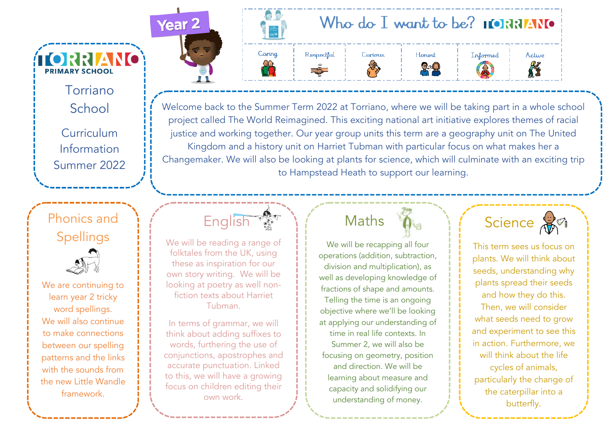Torriano School

**TORRIANO** 

**PRIMARY SCHOOL** 

**Curriculum** Information Summer 2022

### Phonics and Spellings

We are continuing to learn year 2 tricky word spellings. We will also continue to make connections between our spelling patterns and the links with the sounds from the new Little Wandle framework.



A.



Welcome back to the Summer Term 2022 at Torriano, where we will be taking part in a whole school project called The World Reimagined. This exciting national art initiative explores themes of racial justice and working together. Our year group units this term are a geography unit on The United Kingdom and a history unit on Harriet Tubman with particular focus on what makes her a Changemaker. We will also be looking at plants for science, which will culminate with an exciting trip to Hampstead Heath to support our learning.

**English Av** 

We will be reading a range of folktales from the UK, using these as inspiration for our own story writing. We will be looking at poetry as well nonfiction texts about Harriet Tubman.

In terms of grammar, we will think about adding suffixes to words, furthering the use of conjunctions, apostrophes and accurate punctuation. Linked to this, we will have a growing focus on children editing their own work.

## Maths

We will be recapping all four operations (addition, subtraction, division and multiplication), as well as developing knowledge of fractions of shape and amounts.

Telling the time is an ongoing objective where we'll be looking at applying our understanding of time in real life contexts. In Summer 2, we will also be focusing on geometry, position and direction. We will be learning about measure and capacity and solidifying our understanding of money.

Science **B** 

This term sees us focus on plants. We will think about seeds, understanding why plants spread their seeds and how they do this. Then, we will consider what seeds need to grow and experiment to see this in action. Furthermore, we will think about the life cycles of animals, particularly the change of the caterpillar into a butterfly.